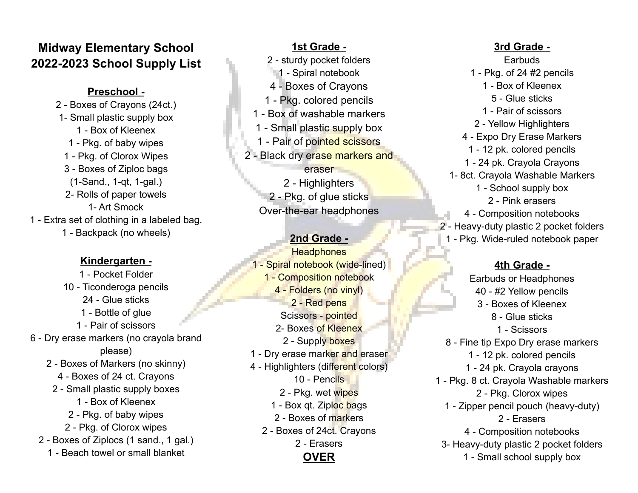# **Midway Elementary School 2022-2023 School Supply List**

#### **Preschool -**

2 - Boxes of Crayons (24ct.) 1- Small plastic supply box 1 - Box of Kleenex 1 - Pkg. of baby wipes 1 - Pkg. of Clorox Wipes 3 - Boxes of Ziploc bags (1-Sand., 1-qt, 1-gal.) 2- Rolls of paper towels 1- Art Smock 1 - Extra set of clothing in a labeled bag. 1 - Backpack (no wheels)

### **Kindergarten -**

- 1 Pocket Folder 10 - Ticonderoga pencils 24 - Glue sticks 1 - Bottle of glue 1 - Pair of scissors 6 - Dry erase markers (no crayola brand please) 2 - Boxes of Markers (no skinny) 4 - Boxes of 24 ct. Crayons 2 - Small plastic supply boxes 1 - Box of Kleenex 2 - Pkg. of baby wipes 2 - Pkg. of Clorox wipes 2 - Boxes of Ziplocs (1 sand., 1 gal.) 1 - Beach towel or small blanket
- **1st Grade -** 2 - sturdy pocket folders 1 - Spiral notebook 4 - Boxes of Crayons 1 - Pkg. colored pencils 1 - Box of washable markers 1 - Small plastic supply box 1 - Pair of pointed scissors 2 - Black dry erase markers and eraser 2 - Highlighters 2 - Pkg. of glue sticks Over-the-ear headphones **2nd Grade - Headphones** 1 - Spiral notebook (wide-lined) 1 - Composition notebook 4 - Folders (no vinyl) 2 - Red pens Scissors - pointed 2- Boxes of Kleenex 2 - Supply boxes 1 - Dry erase marker and eraser 4 - Highlighters (different colors) 10 - Pencils 2 - Pkg. wet wipes 1 - Box qt. Ziploc bags 2 - Boxes of markers 2 - Boxes of 24ct. Crayons 2 - Erasers **OVER**

## **3rd Grade -**

**Earbuds** 1 - Pkg. of 24 #2 pencils 1 - Box of Kleenex 5 - Glue sticks 1 - Pair of scissors 2 - Yellow Highlighters 4 - Expo Dry Erase Markers 1 - 12 pk. colored pencils 1 - 24 pk. Crayola Crayons 1- 8ct. Crayola Washable Markers 1 - School supply box 2 - Pink erasers 4 - Composition notebooks 2 - Heavy-duty plastic 2 pocket folders 1 - Pkg. Wide-ruled notebook paper

### **4th Grade -**

Earbuds or Headphones 40 - #2 Yellow pencils 3 - Boxes of Kleenex 8 - Glue sticks 1 - Scissors 8 - Fine tip Expo Dry erase markers 1 - 12 pk. colored pencils 1 - 24 pk. Crayola crayons 1 - Pkg. 8 ct. Crayola Washable markers 2 - Pkg. Clorox wipes 1 - Zipper pencil pouch (heavy-duty) 2 - Erasers 4 - Composition notebooks 3- Heavy-duty plastic 2 pocket folders 1 - Small school supply box